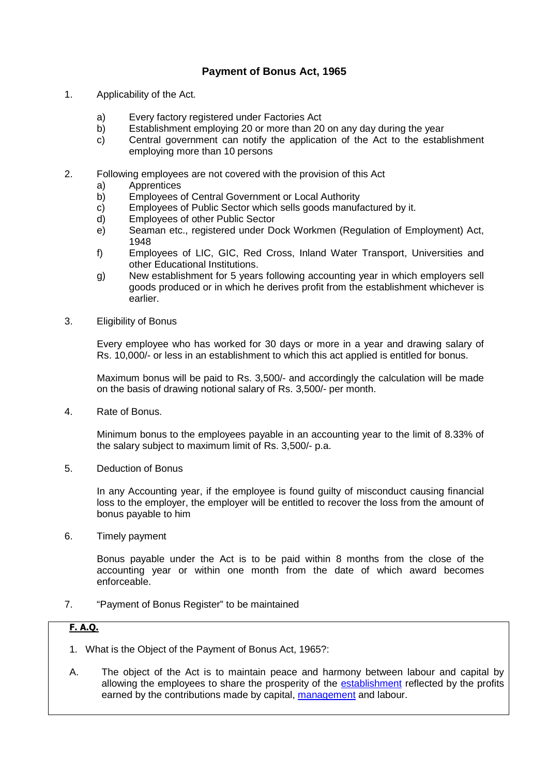## **Payment of Bonus Act, 1965**

- 1. Applicability of the Act.
	- a) Every factory registered under Factories Act
	- b) Establishment employing 20 or more than 20 on any day during the year
	- c) Central government can notify the application of the Act to the establishment employing more than 10 persons
- 2. Following employees are not covered with the provision of this Act
	- a) Apprentices
	- b) Employees of Central Government or Local Authority
	- c) Employees of Public Sector which sells goods manufactured by it.
	- d) Employees of other Public Sector
	- e) Seaman etc., registered under Dock Workmen (Regulation of Employment) Act, 1948
	- f) Employees of LIC, GIC, Red Cross, Inland Water Transport, Universities and other Educational Institutions.
	- g) New establishment for 5 years following accounting year in which employers sell goods produced or in which he derives profit from the establishment whichever is earlier.
- 3. Eligibility of Bonus

Every employee who has worked for 30 days or more in a year and drawing salary of Rs. 10,000/- or less in an establishment to which this act applied is entitled for bonus.

Maximum bonus will be paid to Rs. 3,500/- and accordingly the calculation will be made on the basis of drawing notional salary of Rs. 3,500/- per month.

4. Rate of Bonus.

Minimum bonus to the employees payable in an accounting year to the limit of 8.33% of the salary subject to maximum limit of Rs. 3,500/- p.a.

5. Deduction of Bonus

In any Accounting year, if the employee is found guilty of misconduct causing financial loss to the employer, the employer will be entitled to recover the loss from the amount of bonus payable to him

6. Timely payment

Bonus payable under the Act is to be paid within 8 months from the close of the accounting year or within one month from the date of which award becomes enforceable.

7. "Payment of Bonus Register" to be maintained

## **F. A.Q.**

- 1. What is the Object of the Payment of Bonus Act, 1965?:
- A. The object of the Act is to maintain peace and harmony between labour and capital by allowing the employees to share the prosperity of the establishment reflected by the profits earned by the contributions made by capital, management and labour.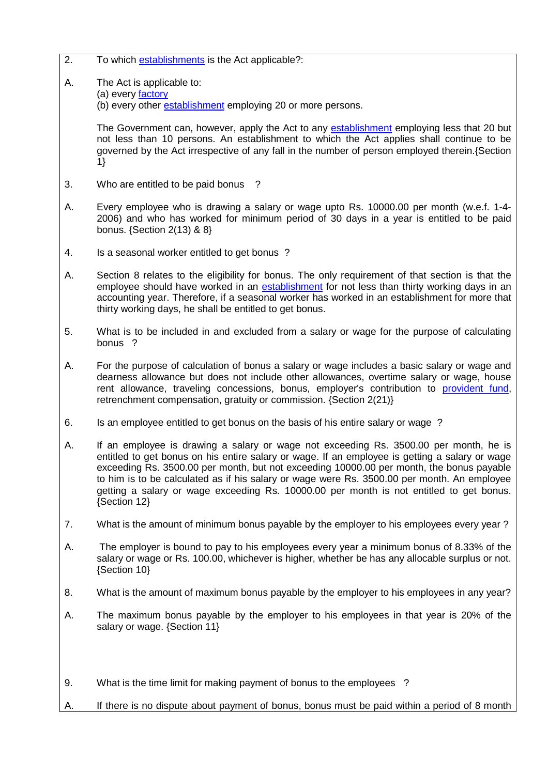- 2. To which establishments is the Act applicable?:
- A. The Act is applicable to:
	- (a) every factory

(b) every other **establishment** employing 20 or more persons.

The Government can, however, apply the Act to any establishment employing less that 20 but not less than 10 persons. An establishment to which the Act applies shall continue to be governed by the Act irrespective of any fall in the number of person employed therein.{Section 1}

- 3. Who are entitled to be paid bonus ?
- A. Every employee who is drawing a salary or wage upto Rs. 10000.00 per month (w.e.f. 1-4- 2006) and who has worked for minimum period of 30 days in a year is entitled to be paid bonus. {Section 2(13) & 8}
- 4. Is a seasonal worker entitled to get bonus ?
- A. Section 8 relates to the eligibility for bonus. The only requirement of that section is that the employee should have worked in an establishment for not less than thirty working days in an accounting year. Therefore, if a seasonal worker has worked in an establishment for more that thirty working days, he shall be entitled to get bonus.
- 5. What is to be included in and excluded from a salary or wage for the purpose of calculating bonus ?
- A. For the purpose of calculation of bonus a salary or wage includes a basic salary or wage and dearness allowance but does not include other allowances, overtime salary or wage, house rent allowance, traveling concessions, bonus, employer's contribution to provident fund, retrenchment compensation, gratuity or commission. {Section 2(21)}
- 6. Is an employee entitled to get bonus on the basis of his entire salary or wage ?
- A. If an employee is drawing a salary or wage not exceeding Rs. 3500.00 per month, he is entitled to get bonus on his entire salary or wage. If an employee is getting a salary or wage exceeding Rs. 3500.00 per month, but not exceeding 10000.00 per month, the bonus payable to him is to be calculated as if his salary or wage were Rs. 3500.00 per month. An employee getting a salary or wage exceeding Rs. 10000.00 per month is not entitled to get bonus. {Section 12}
- 7. What is the amount of minimum bonus payable by the employer to his employees every year ?
- A. The employer is bound to pay to his employees every year a minimum bonus of 8.33% of the salary or wage or Rs. 100.00, whichever is higher, whether be has any allocable surplus or not. {Section 10}
- 8. What is the amount of maximum bonus payable by the employer to his employees in any year?
- A. The maximum bonus payable by the employer to his employees in that year is 20% of the salary or wage. {Section 11}
- 9. What is the time limit for making payment of bonus to the employees ?
- If there is no dispute about payment of bonus, bonus must be paid within a period of 8 month